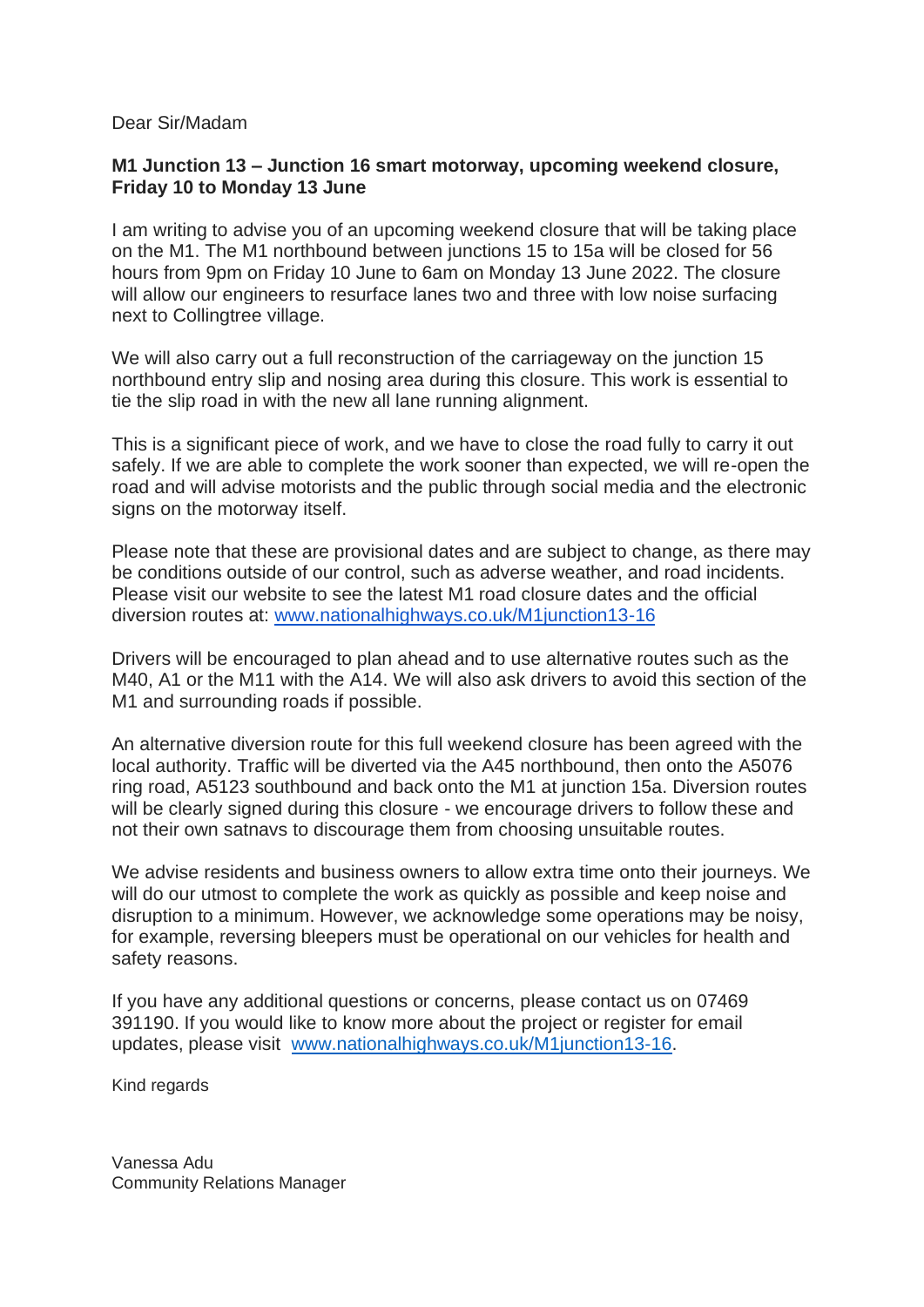## Dear Sir/Madam

## **M1 Junction 13 – Junction 16 smart motorway, upcoming weekend closure, Friday 10 to Monday 13 June**

I am writing to advise you of an upcoming weekend closure that will be taking place on the M1. The M1 northbound between junctions 15 to 15a will be closed for 56 hours from 9pm on Friday 10 June to 6am on Monday 13 June 2022. The closure will allow our engineers to resurface lanes two and three with low noise surfacing next to Collingtree village.

We will also carry out a full reconstruction of the carriageway on the junction 15 northbound entry slip and nosing area during this closure. This work is essential to tie the slip road in with the new all lane running alignment.

This is a significant piece of work, and we have to close the road fully to carry it out safely. If we are able to complete the work sooner than expected, we will re-open the road and will advise motorists and the public through social media and the electronic signs on the motorway itself.

Please note that these are provisional dates and are subject to change, as there may be conditions outside of our control, such as adverse weather, and road incidents. Please visit our website to see the latest M1 road closure dates and the official diversion routes at: [www.nationalhighways.co.uk/M1junction13-16](http://www.nationalhighways.co.uk/M1junction13-16)

Drivers will be encouraged to plan ahead and to use alternative routes such as the M40, A1 or the M11 with the A14. We will also ask drivers to avoid this section of the M1 and surrounding roads if possible.

An alternative diversion route for this full weekend closure has been agreed with the local authority. Traffic will be diverted via the A45 northbound, then onto the A5076 ring road, A5123 southbound and back onto the M1 at junction 15a. Diversion routes will be clearly signed during this closure - we encourage drivers to follow these and not their own satnavs to discourage them from choosing unsuitable routes.

We advise residents and business owners to allow extra time onto their journeys. We will do our utmost to complete the work as quickly as possible and keep noise and disruption to a minimum. However, we acknowledge some operations may be noisy, for example, reversing bleepers must be operational on our vehicles for health and safety reasons.

If you have any additional questions or concerns, please contact us on 07469 391190. If you would like to know more about the project or register for email updates, please visit [www.nationalhighways.co.uk/M1junction13-16.](http://www.highwaysengland.co.uk/M1junction13-16)

Kind regards

Vanessa Adu Community Relations Manager